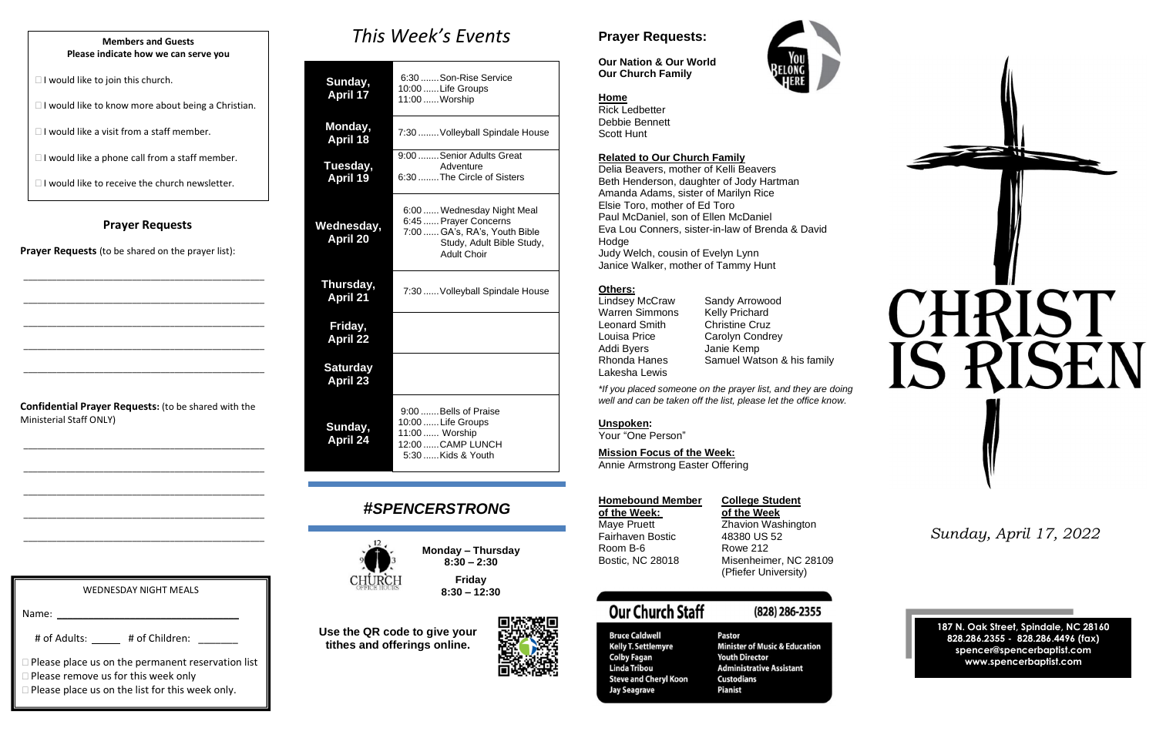## **Prayer Requests**

**Prayer Requests** (to be shared on the prayer list):

\_\_\_\_\_\_\_\_\_\_\_\_\_\_\_\_\_\_\_\_\_\_\_\_\_\_\_\_\_\_\_\_\_\_\_\_\_\_\_\_\_\_\_\_\_\_\_\_\_\_\_

\_\_\_\_\_\_\_\_\_\_\_\_\_\_\_\_\_\_\_\_\_\_\_\_\_\_\_\_\_\_\_\_\_\_\_\_\_\_\_\_\_\_\_\_\_\_\_\_\_\_\_

\_\_\_\_\_\_\_\_\_\_\_\_\_\_\_\_\_\_\_\_\_\_\_\_\_\_\_\_\_\_\_\_\_\_\_\_\_\_\_\_\_\_\_\_\_\_\_\_\_\_\_

\_\_\_\_\_\_\_\_\_\_\_\_\_\_\_\_\_\_\_\_\_\_\_\_\_\_\_\_\_\_\_\_\_\_\_\_\_\_\_\_\_\_\_\_\_\_\_\_\_\_\_

\_\_\_\_\_\_\_\_\_\_\_\_\_\_\_\_\_\_\_\_\_\_\_\_\_\_\_\_\_\_\_\_\_\_\_\_\_\_\_\_\_\_\_\_\_\_\_\_\_\_\_

**Confidential Prayer Requests:** (to be shared with the Ministerial Staff ONLY)

\_\_\_\_\_\_\_\_\_\_\_\_\_\_\_\_\_\_\_\_\_\_\_\_\_\_\_\_\_\_\_\_\_\_\_\_\_\_\_\_\_\_\_\_\_\_\_\_\_\_\_

\_\_\_\_\_\_\_\_\_\_\_\_\_\_\_\_\_\_\_\_\_\_\_\_\_\_\_\_\_\_\_\_\_\_\_\_\_\_\_\_\_\_\_\_\_\_\_\_\_\_\_

\_\_\_\_\_\_\_\_\_\_\_\_\_\_\_\_\_\_\_\_\_\_\_\_\_\_\_\_\_\_\_\_\_\_\_\_\_\_\_\_\_\_\_\_\_\_\_\_\_\_\_

\_\_\_\_\_\_\_\_\_\_\_\_\_\_\_\_\_\_\_\_\_\_\_\_\_\_\_\_\_\_\_\_\_\_\_\_\_\_\_\_\_\_\_\_\_\_\_\_\_\_\_

\_\_\_\_\_\_\_\_\_\_\_\_\_\_\_\_\_\_\_\_\_\_\_\_\_\_\_\_\_\_\_\_\_\_\_\_\_\_\_\_\_\_\_\_\_\_\_\_\_\_\_

*This Week's Events*

| Sunday,<br><b>April 17</b>    | 6:30  Son-Rise Service<br>10:00  Life Groups<br>11:00  Worship                                                                          |  |
|-------------------------------|-----------------------------------------------------------------------------------------------------------------------------------------|--|
| Monday,<br><b>April 18</b>    | 7:30  Volleyball Spindale House                                                                                                         |  |
| Tuesday,<br><b>April 19</b>   | 9:00  Senior Adults Great<br>Adventure<br>6:30 The Circle of Sisters                                                                    |  |
| Wednesday,<br><b>April 20</b> | 6:00  Wednesday Night Meal<br>6:45  Prayer Concerns<br>7:00  GA's, RA's, Youth Bible<br>Study, Adult Bible Study,<br><b>Adult Choir</b> |  |

**Thursday, April 21**

# 7:30......Volleyball Spindale House

**Friday, April 22**

**Saturday April 23 Sunday, April 24** 9:00.......Bells of Praise 10:00......Life Groups 11:00...... Worship 12:00......CAMP LUNCH

5:30......Kids & Youth

# *#SPENCERSTRONG*



**Monday – Thursday 8:30 – 2:30**





**8:30 – 12:30**

**Use the QR code to give your tithes and offerings online.**

# **Prayer Requests:**

**Our Nation & Our World Our Church Family**



Rick Ledbetter Debbie Bennett Scott Hunt

## **Related to Our Church Family**

Delia Beavers, mother of Kelli Beavers Beth Henderson, daughter of Jody Hartman Amanda Adams, sister of Marilyn Rice Elsie Toro, mother of Ed Toro Paul McDaniel, son of Ellen McDaniel Eva Lou Conners, sister-in-law of Brenda & David Hodge Judy Welch, cousin of Evelyn Lynn

Janice Walker, mother of Tammy Hunt

# **Others:**

| Lindsey McCraw        |
|-----------------------|
| <b>Warren Simmons</b> |
| Leonard Smith         |
| Louisa Price          |
| Addi Byers            |
| <b>Rhonda Hanes</b>   |
| Lakesha Lewis         |

Sandy Arrowood Kelly Prichard **Christine Cruz** Carolyn Condrey Janie Kemp Samuel Watson & his family

*\*If you placed someone on the prayer list, and they are doing well and can be taken off the list, please let the office know.*

**Unspoken:**

Your "One Person"

## **Mission Focus of the Week:**

Annie Armstrong Easter Offering

| <b>Homebound Memb</b>   |  |  |
|-------------------------|--|--|
| of the Week:            |  |  |
| Maye Pruett             |  |  |
| Fairhaven Bostic        |  |  |
| Room B-6                |  |  |
| <b>Bostic, NC 28018</b> |  |  |
|                         |  |  |

## **Pollege Student**

**of the Week: of the Week** Zhavion Washington 48380 US 52 Rowe 212 Misenheimer, NC 28109 (Pfiefer University)

# **Our Church Staff**

**Bruce Caldwell** 

**Colby Fagan** 

**Linda Tribou** 

**Jay Seagrave** 

**Kelly T. Settlemyre** 

**Steve and Cheryl Koon** 

# (828) 286-2355

Pastor **Minister of Music & Education Youth Director Administrative Assistant Custodians Pianist** 

*Sunday, April 17, 2022*

**187 N. Oak Street, Spindale, NC 28160 828.286.2355 - 828.286.4496 (fax) spencer@spencerbaptist.com www.spencerbaptist.com**

### **Members and Guests Please indicate how we can serve you**

 $\Box$  I would like to join this church.

 $\Box$  I would like to know more about being a Christian.

 $\Box$  I would like a visit from a staff member.

 $\Box$  I would like a phone call from a staff member.

 $\Box$  I would like to receive the church newsletter.

WEDNESDAY NIGHT MEALS

# of Adults: \_\_\_\_ # of Children: \_\_\_\_\_\_\_

 $\Box$  Please place us on the list for this week only.

 $\square$  Please remove us for this week only

 $\Box$  Please place us on the permanent reservation list

Name: